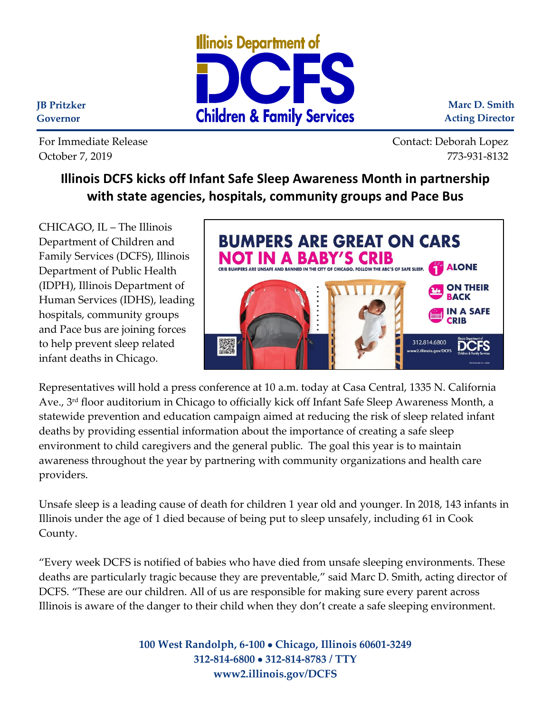

**Marc D. Smith Acting Director**

**JB Pritzker Governor**

For Immediate Release Contact: Deborah Lopez October 7, 2019 773-931-8132

## **Illinois DCFS kicks off Infant Safe Sleep Awareness Month in partnership with state agencies, hospitals, community groups and Pace Bus**

CHICAGO, IL – The Illinois Department of Children and Family Services (DCFS), Illinois Department of Public Health (IDPH), Illinois Department of Human Services (IDHS), leading hospitals, community groups and Pace bus are joining forces to help prevent sleep related infant deaths in Chicago.



Representatives will hold a press conference at 10 a.m. today at Casa Central, 1335 N. California Ave., 3 rd floor auditorium in Chicago to officially kick off Infant Safe Sleep Awareness Month, a statewide prevention and education campaign aimed at reducing the risk of sleep related infant deaths by providing essential information about the importance of creating a safe sleep environment to child caregivers and the general public. The goal this year is to maintain awareness throughout the year by partnering with community organizations and health care providers.

Unsafe sleep is a leading cause of death for children 1 year old and younger. In 2018, 143 infants in Illinois under the age of 1 died because of being put to sleep unsafely, including 61 in Cook County.

"Every week DCFS is notified of babies who have died from unsafe sleeping environments. These deaths are particularly tragic because they are preventable," said Marc D. Smith, acting director of DCFS. "These are our children. All of us are responsible for making sure every parent across Illinois is aware of the danger to their child when they don't create a safe sleeping environment.

> **100 West Randolph, 6-100** • **Chicago, Illinois 60601-3249 312-814-6800** • **312-814-8783 / TTY www2.illinois.gov/DCFS**